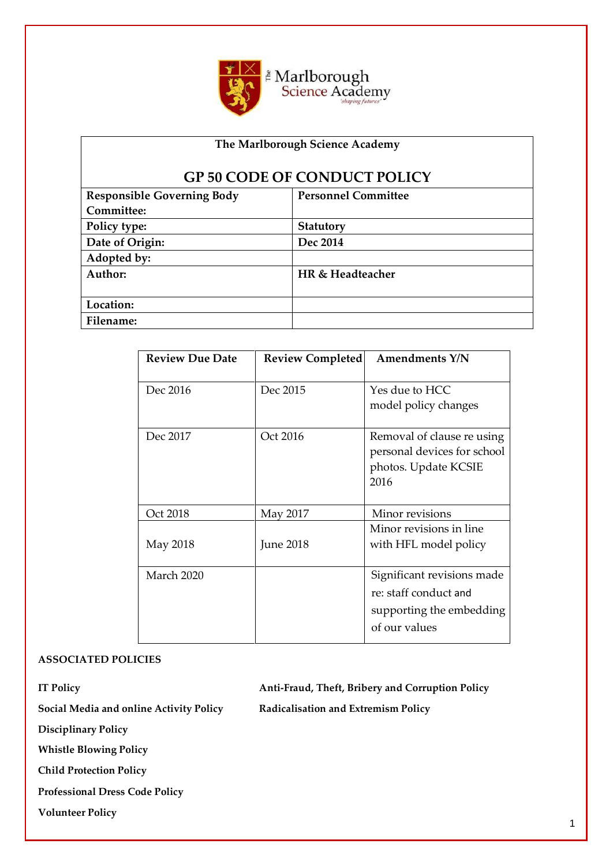

# **The Marlborough Science Academy**

# **GP 50 CODE OF CONDUCT POLICY**

| <b>Responsible Governing Body</b> | <b>Personnel Committee</b> |
|-----------------------------------|----------------------------|
| Committee:                        |                            |
| Policy type:                      | Statutory                  |
| Date of Origin:                   | Dec 2014                   |
| Adopted by:                       |                            |
| Author:                           | HR & Headteacher           |
|                                   |                            |
| Location:                         |                            |
| Filename:                         |                            |

| <b>Review Due Date</b> | <b>Review Completed</b> | <b>Amendments Y/N</b>                                                                            |
|------------------------|-------------------------|--------------------------------------------------------------------------------------------------|
| Dec 2016               | Dec 2015                | Yes due to HCC<br>model policy changes                                                           |
| Dec 2017               | Oct 2016                | Removal of clause re using<br>personal devices for school<br>photos. Update KCSIE<br>2016        |
| Oct 2018               | May 2017                | Minor revisions                                                                                  |
| May 2018               | <b>June 2018</b>        | Minor revisions in line<br>with HFL model policy                                                 |
| March 2020             |                         | Significant revisions made<br>re: staff conduct and<br>supporting the embedding<br>of our values |

#### **ASSOCIATED POLICIES**

**IT Policy Anti-Fraud, Theft, Bribery and Corruption Policy** 

**Social Media and online Activity Policy Radicalisation and Extremism Policy** 

**Disciplinary Policy**

**Whistle Blowing Policy**

**Child Protection Policy** 

**Professional Dress Code Policy** 

**Volunteer Policy**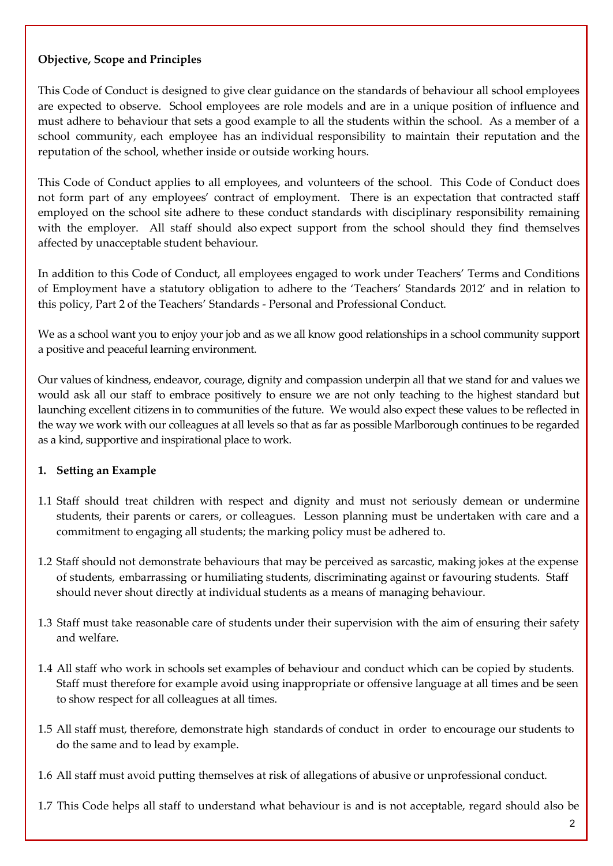# **Objective, Scope and Principles**

This Code of Conduct is designed to give clear guidance on the standards of behaviour all school employees are expected to observe. School employees are role models and are in a unique position of influence and must adhere to behaviour that sets a good example to all the students within the school. As a member of a school community, each employee has an individual responsibility to maintain their reputation and the reputation of the school, whether inside or outside working hours.

This Code of Conduct applies to all employees, and volunteers of the school. This Code of Conduct does not form part of any employees' contract of employment. There is an expectation that contracted staff employed on the school site adhere to these conduct standards with disciplinary responsibility remaining with the employer. All staff should also expect support from the school should they find themselves affected by unacceptable student behaviour.

In addition to this Code of Conduct, all employees engaged to work under Teachers' Terms and Conditions of Employment have a statutory obligation to adhere to the 'Teachers' Standards 2012' and in relation to this policy, Part 2 of the Teachers' Standards - Personal and Professional Conduct.

We as a school want you to enjoy your job and as we all know good relationships in a school community support a positive and peaceful learning environment.

Our values of kindness, endeavor, courage, dignity and compassion underpin all that we stand for and values we would ask all our staff to embrace positively to ensure we are not only teaching to the highest standard but launching excellent citizens in to communities of the future. We would also expect these values to be reflected in the way we work with our colleagues at all levels so that as far as possible Marlborough continues to be regarded as a kind, supportive and inspirational place to work.

# **1. Setting an Example**

- 1.1 Staff should treat children with respect and dignity and must not seriously demean or undermine students, their parents or carers, or colleagues. Lesson planning must be undertaken with care and a commitment to engaging all students; the marking policy must be adhered to.
- 1.2 Staff should not demonstrate behaviours that may be perceived as sarcastic, making jokes at the expense of students, embarrassing or humiliating students, discriminating against or favouring students. Staff should never shout directly at individual students as a means of managing behaviour.
- 1.3 Staff must take reasonable care of students under their supervision with the aim of ensuring their safety and welfare.
- 1.4 All staff who work in schools set examples of behaviour and conduct which can be copied by students. Staff must therefore for example avoid using inappropriate or offensive language at all times and be seen to show respect for all colleagues at all times.
- 1.5 All staff must, therefore, demonstrate high standards of conduct in order to encourage our students to do the same and to lead by example.
- 1.6 All staff must avoid putting themselves at risk of allegations of abusive or unprofessional conduct.

1.7 This Code helps all staff to understand what behaviour is and is not acceptable, regard should also be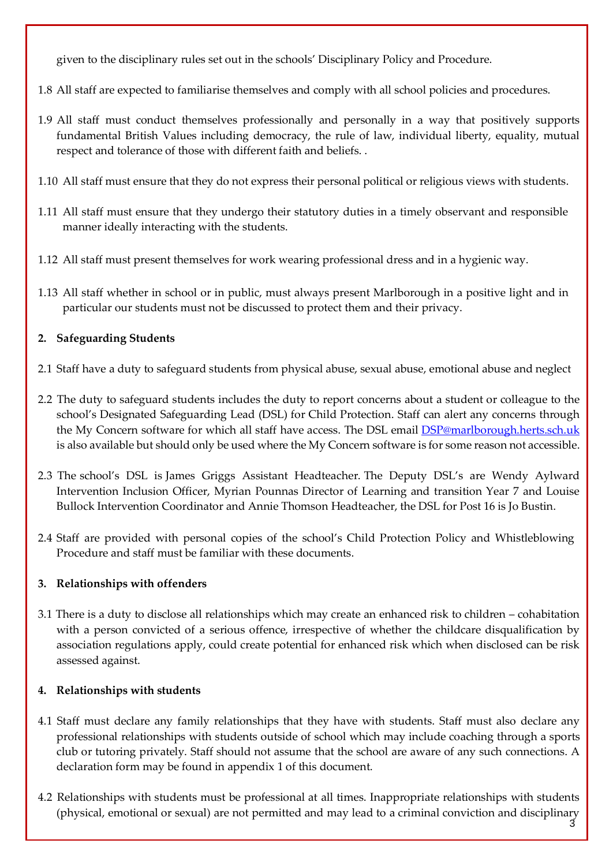given to the disciplinary rules set out in the schools' Disciplinary Policy and Procedure.

- 1.8 All staff are expected to familiarise themselves and comply with all school policies and procedures.
- 1.9 All staff must conduct themselves professionally and personally in a way that positively supports fundamental British Values including democracy, the rule of law, individual liberty, equality, mutual respect and tolerance of those with different faith and beliefs. .
- 1.10 All staff must ensure that they do not express their personal political or religious views with students.
- 1.11 All staff must ensure that they undergo their statutory duties in a timely observant and responsible manner ideally interacting with the students.
- 1.12 All staff must present themselves for work wearing professional dress and in a hygienic way.
- 1.13 All staff whether in school or in public, must always present Marlborough in a positive light and in particular our students must not be discussed to protect them and their privacy.

# **2. Safeguarding Students**

- 2.1 Staff have a duty to safeguard students from physical abuse, sexual abuse, emotional abuse and neglect
- 2.2 The duty to safeguard students includes the duty to report concerns about a student or colleague to the school's Designated Safeguarding Lead (DSL) for Child Protection. Staff can alert any concerns through the My Concern software for which all staff have access. The DSL email **DSP@marlborough.herts.sch.uk** is also available but should only be used where the My Concern software is for some reason not accessible.
- 2.3 The school's DSL is James Griggs Assistant Headteacher. The Deputy DSL's are Wendy Aylward Intervention Inclusion Officer, Myrian Pounnas Director of Learning and transition Year 7 and Louise Bullock Intervention Coordinator and Annie Thomson Headteacher, the DSL for Post 16 is Jo Bustin.
- 2.4 Staff are provided with personal copies of the school's Child Protection Policy and Whistleblowing Procedure and staff must be familiar with these documents.

# **3. Relationships with offenders**

3.1 There is a duty to disclose all relationships which may create an enhanced risk to children – cohabitation with a person convicted of a serious offence, irrespective of whether the childcare disqualification by association regulations apply, could create potential for enhanced risk which when disclosed can be risk assessed against.

# **4. Relationships with students**

- 4.1 Staff must declare any family relationships that they have with students. Staff must also declare any professional relationships with students outside of school which may include coaching through a sports club or tutoring privately. Staff should not assume that the school are aware of any such connections. A declaration form may be found in appendix 1 of this document.
- 4.2 Relationships with students must be professional at all times. Inappropriate relationships with students (physical, emotional or sexual) are not permitted and may lead to a criminal conviction and disciplinary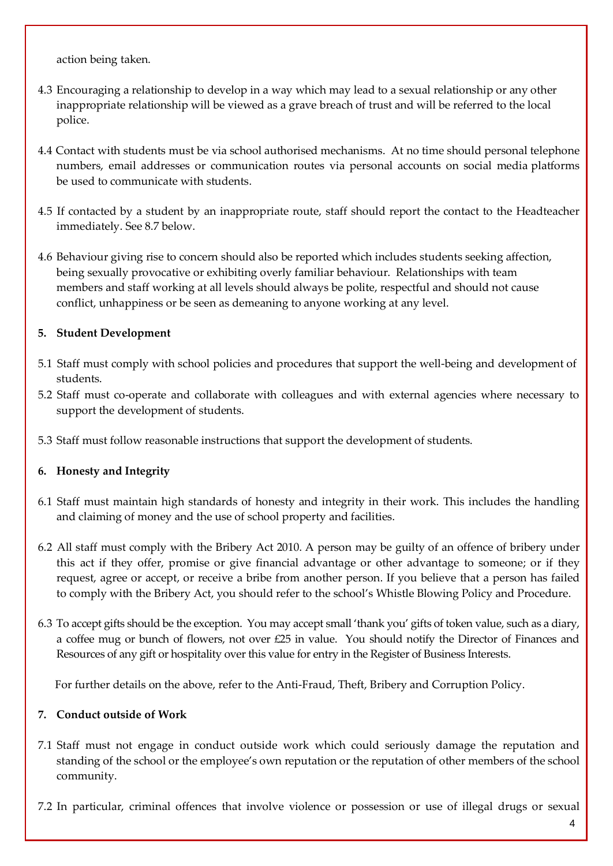action being taken.

- 4.3 Encouraging a relationship to develop in a way which may lead to a sexual relationship or any other inappropriate relationship will be viewed as a grave breach of trust and will be referred to the local police.
- 4.4 Contact with students must be via school authorised mechanisms. At no time should personal telephone numbers, email addresses or communication routes via personal accounts on social media platforms be used to communicate with students.
- 4.5 If contacted by a student by an inappropriate route, staff should report the contact to the Headteacher immediately. See 8.7 below.
- 4.6 Behaviour giving rise to concern should also be reported which includes students seeking affection, being sexually provocative or exhibiting overly familiar behaviour. Relationships with team members and staff working at all levels should always be polite, respectful and should not cause conflict, unhappiness or be seen as demeaning to anyone working at any level.

# **5. Student Development**

- 5.1 Staff must comply with school policies and procedures that support the well-being and development of students.
- 5.2 Staff must co-operate and collaborate with colleagues and with external agencies where necessary to support the development of students.
- 5.3 Staff must follow reasonable instructions that support the development of students.

# **6. Honesty and Integrity**

- 6.1 Staff must maintain high standards of honesty and integrity in their work. This includes the handling and claiming of money and the use of school property and facilities.
- 6.2 All staff must comply with the Bribery Act 2010. A person may be guilty of an offence of bribery under this act if they offer, promise or give financial advantage or other advantage to someone; or if they request, agree or accept, or receive a bribe from another person. If you believe that a person has failed to comply with the Bribery Act, you should refer to the school's Whistle Blowing Policy and Procedure.
- 6.3 To accept gifts should be the exception. You may accept small 'thank you' gifts of token value, such as a diary, a coffee mug or bunch of flowers, not over £25 in value. You should notify the Director of Finances and Resources of any gift or hospitality over this value for entry in the Register of Business Interests.

For further details on the above, refer to the Anti-Fraud, Theft, Bribery and Corruption Policy.

# **7. Conduct outside of Work**

- 7.1 Staff must not engage in conduct outside work which could seriously damage the reputation and standing of the school or the employee's own reputation or the reputation of other members of the school community.
- 7.2 In particular, criminal offences that involve violence or possession or use of illegal drugs or sexual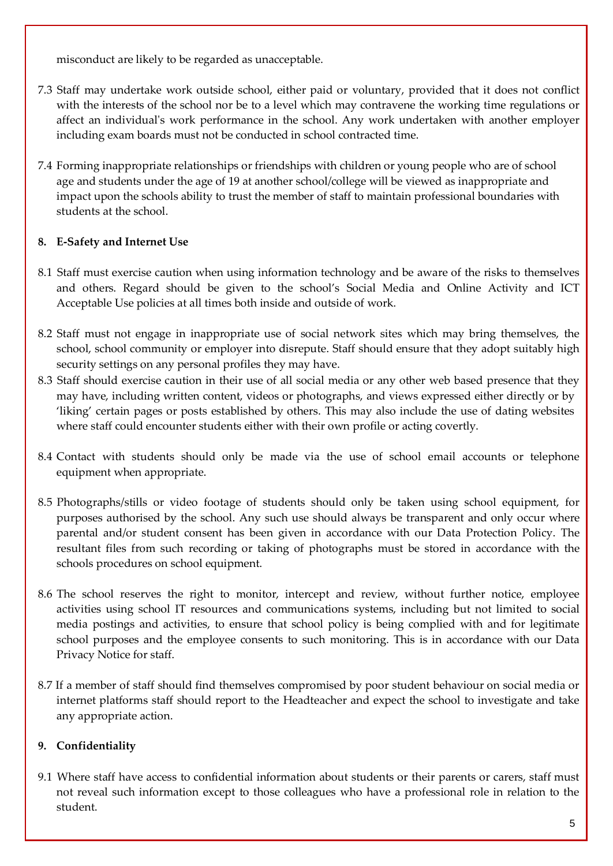misconduct are likely to be regarded as unacceptable.

- 7.3 Staff may undertake work outside school, either paid or voluntary, provided that it does not conflict with the interests of the school nor be to a level which may contravene the working time regulations or affect an individual's work performance in the school. Any work undertaken with another employer including exam boards must not be conducted in school contracted time.
- 7.4 Forming inappropriate relationships or friendships with children or young people who are of school age and students under the age of 19 at another school/college will be viewed as inappropriate and impact upon the schools ability to trust the member of staff to maintain professional boundaries with students at the school.

# **8. E-Safety and Internet Use**

- 8.1 Staff must exercise caution when using information technology and be aware of the risks to themselves and others. Regard should be given to the school's Social Media and Online Activity and ICT Acceptable Use policies at all times both inside and outside of work.
- 8.2 Staff must not engage in inappropriate use of social network sites which may bring themselves, the school, school community or employer into disrepute. Staff should ensure that they adopt suitably high security settings on any personal profiles they may have.
- 8.3 Staff should exercise caution in their use of all social media or any other web based presence that they may have, including written content, videos or photographs, and views expressed either directly or by 'liking' certain pages or posts established by others. This may also include the use of dating websites where staff could encounter students either with their own profile or acting covertly.
- 8.4 Contact with students should only be made via the use of school email accounts or telephone equipment when appropriate.
- 8.5 Photographs/stills or video footage of students should only be taken using school equipment, for purposes authorised by the school. Any such use should always be transparent and only occur where parental and/or student consent has been given in accordance with our Data Protection Policy. The resultant files from such recording or taking of photographs must be stored in accordance with the schools procedures on school equipment.
- 8.6 The school reserves the right to monitor, intercept and review, without further notice, employee activities using school IT resources and communications systems, including but not limited to social media postings and activities, to ensure that school policy is being complied with and for legitimate school purposes and the employee consents to such monitoring. This is in accordance with our Data Privacy Notice for staff.
- 8.7 If a member of staff should find themselves compromised by poor student behaviour on social media or internet platforms staff should report to the Headteacher and expect the school to investigate and take any appropriate action.

# **9. Confidentiality**

9.1 Where staff have access to confidential information about students or their parents or carers, staff must not reveal such information except to those colleagues who have a professional role in relation to the student.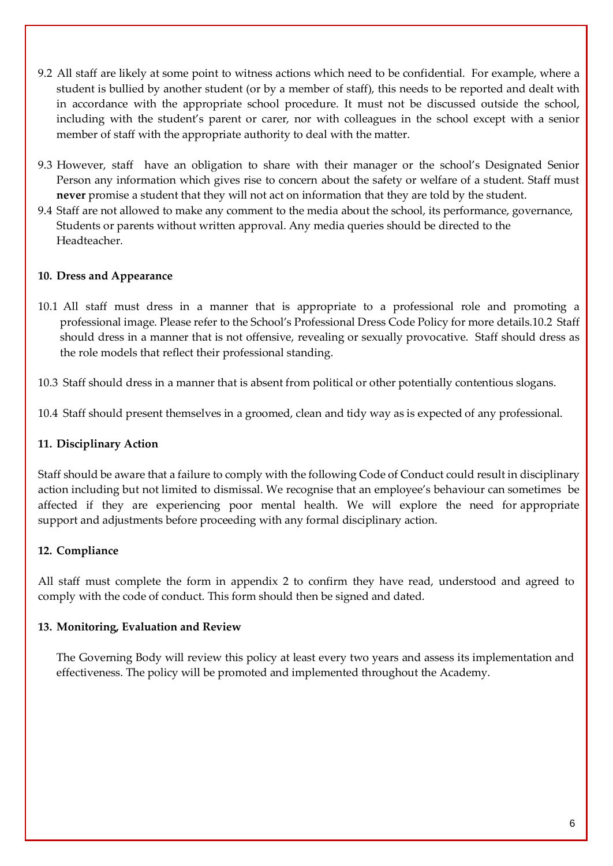- 9.2 All staff are likely at some point to witness actions which need to be confidential. For example, where a student is bullied by another student (or by a member of staff), this needs to be reported and dealt with in accordance with the appropriate school procedure. It must not be discussed outside the school, including with the student's parent or carer, nor with colleagues in the school except with a senior member of staff with the appropriate authority to deal with the matter.
- 9.3 However, staff have an obligation to share with their manager or the school's Designated Senior Person any information which gives rise to concern about the safety or welfare of a student. Staff must **never** promise a student that they will not act on information that they are told by the student.
- 9.4 Staff are not allowed to make any comment to the media about the school, its performance, governance, Students or parents without written approval. Any media queries should be directed to the Headteacher.

# **10. Dress and Appearance**

- 10.1 All staff must dress in a manner that is appropriate to a professional role and promoting a professional image. Please refer to the School's Professional Dress Code Policy for more details.10.2 Staff should dress in a manner that is not offensive, revealing or sexually provocative. Staff should dress as the role models that reflect their professional standing.
- 10.3 Staff should dress in a manner that is absent from political or other potentially contentious slogans.

10.4 Staff should present themselves in a groomed, clean and tidy way as is expected of any professional.

#### **11. Disciplinary Action**

Staff should be aware that a failure to comply with the following Code of Conduct could result in disciplinary action including but not limited to dismissal. We recognise that an employee's behaviour can sometimes be affected if they are experiencing poor mental health. We will explore the need for appropriate support and adjustments before proceeding with any formal disciplinary action.

# **12. Compliance**

All staff must complete the form in appendix 2 to confirm they have read, understood and agreed to comply with the code of conduct. This form should then be signed and dated.

#### **13. Monitoring, Evaluation and Review**

The Governing Body will review this policy at least every two years and assess its implementation and effectiveness. The policy will be promoted and implemented throughout the Academy.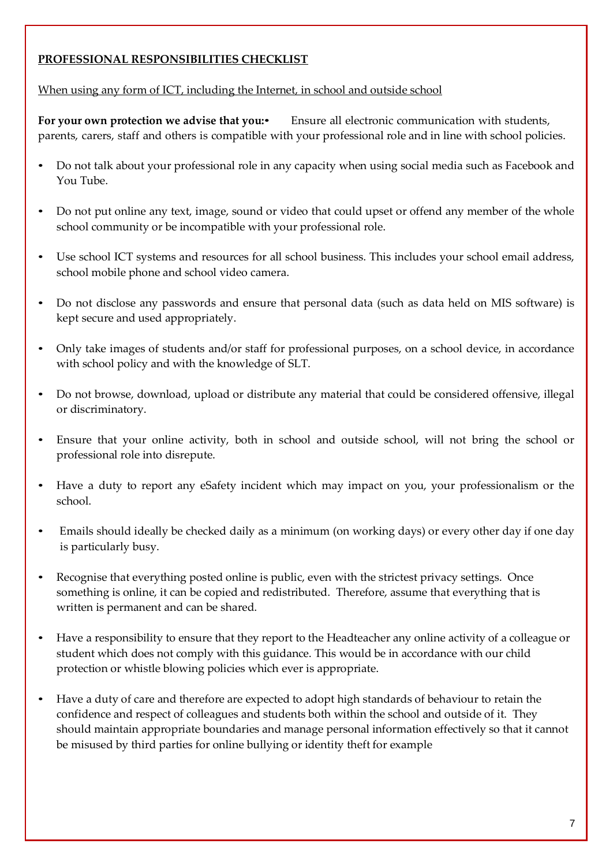# **PROFESSIONAL RESPONSIBILITIES CHECKLIST**

When using any form of ICT, including the Internet, in school and outside school

**For your own protection we advise that you:**• Ensure all electronic communication with students, parents, carers, staff and others is compatible with your professional role and in line with school policies.

- Do not talk about your professional role in any capacity when using social media such as Facebook and You Tube.
- Do not put online any text, image, sound or video that could upset or offend any member of the whole school community or be incompatible with your professional role.
- Use school ICT systems and resources for all school business. This includes your school email address, school mobile phone and school video camera.
- Do not disclose any passwords and ensure that personal data (such as data held on MIS software) is kept secure and used appropriately.
- Only take images of students and/or staff for professional purposes, on a school device, in accordance with school policy and with the knowledge of SLT.
- Do not browse, download, upload or distribute any material that could be considered offensive, illegal or discriminatory.
- Ensure that your online activity, both in school and outside school, will not bring the school or professional role into disrepute.
- Have a duty to report any eSafety incident which may impact on you, your professionalism or the school.
- Emails should ideally be checked daily as a minimum (on working days) or every other day if one day is particularly busy.
- Recognise that everything posted online is public, even with the strictest privacy settings. Once something is online, it can be copied and redistributed. Therefore, assume that everything that is written is permanent and can be shared.
- Have a responsibility to ensure that they report to the Headteacher any online activity of a colleague or student which does not comply with this guidance. This would be in accordance with our child protection or whistle blowing policies which ever is appropriate.
- Have a duty of care and therefore are expected to adopt high standards of behaviour to retain the confidence and respect of colleagues and students both within the school and outside of it. They should maintain appropriate boundaries and manage personal information effectively so that it cannot be misused by third parties for online bullying or identity theft for example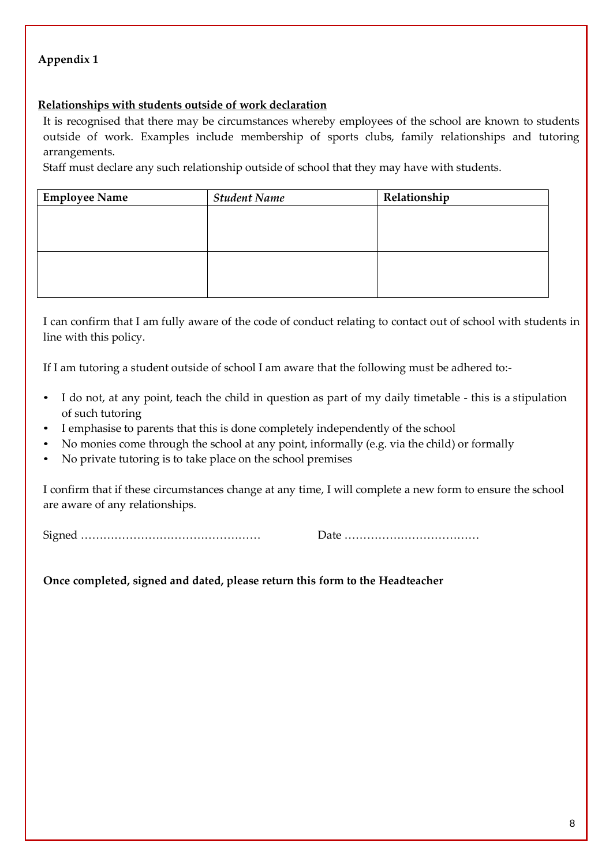# **Appendix 1**

# **Relationships with students outside of work declaration**

It is recognised that there may be circumstances whereby employees of the school are known to students outside of work. Examples include membership of sports clubs, family relationships and tutoring arrangements.

Staff must declare any such relationship outside of school that they may have with students.

| <b>Employee Name</b> | <b>Student Name</b> | Relationship |
|----------------------|---------------------|--------------|
|                      |                     |              |
|                      |                     |              |
|                      |                     |              |
|                      |                     |              |
|                      |                     |              |
|                      |                     |              |

I can confirm that I am fully aware of the code of conduct relating to contact out of school with students in line with this policy.

If I am tutoring a student outside of school I am aware that the following must be adhered to:-

- I do not, at any point, teach the child in question as part of my daily timetable this is a stipulation of such tutoring
- I emphasise to parents that this is done completely independently of the school
- No monies come through the school at any point, informally (e.g. via the child) or formally
- No private tutoring is to take place on the school premises

I confirm that if these circumstances change at any time, I will complete a new form to ensure the school are aware of any relationships.

Signed ………………………………………… Date ………………………………

**Once completed, signed and dated, please return this form to the Headteacher**